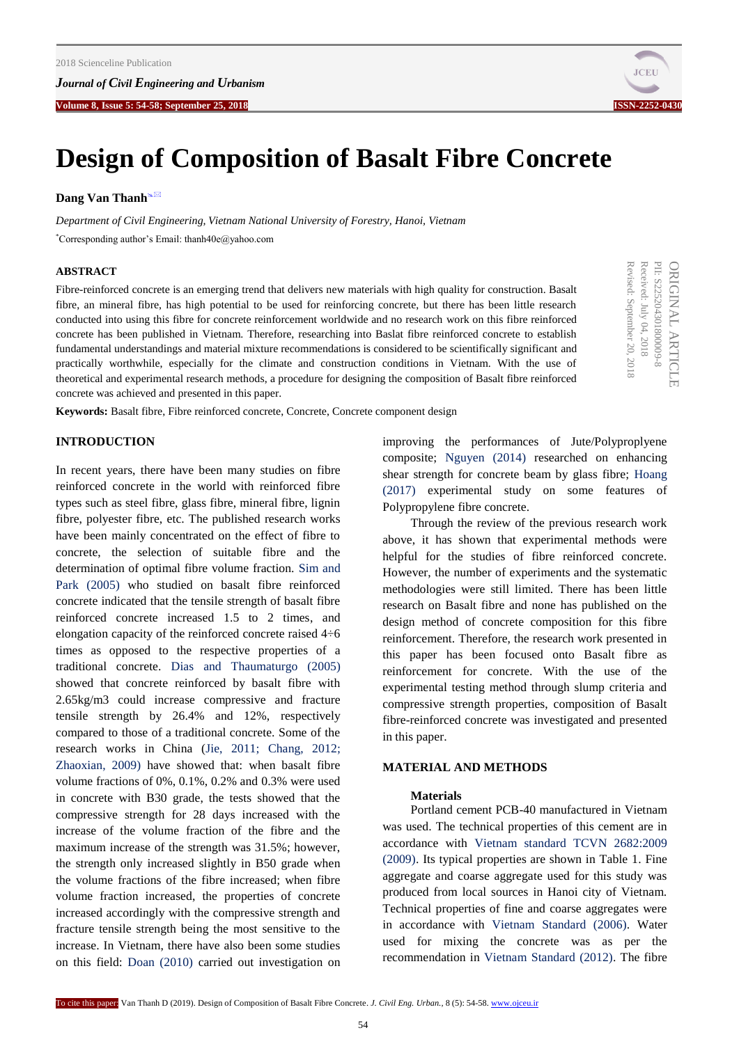

PII: S22520430180000 ORIGINAL ARTICLE PII: S225204301800009-8

ORIGINAL ARTICLE

Received: July 04, 2018 September

Received: July 04, 2018

Revised:

20, 2018

# **Design of Composition of Basalt Fibre Concrete**

# **Dang Van Thanh<sup>®⊠</sup>**

*Department of Civil Engineering, Vietnam National University of Forestry, Hanoi, Vietnam* \*Corresponding author's Email: thanh40e@yahoo.com

## **ABSTRACT**

Fibre-reinforced concrete is an emerging trend that delivers new materials with high quality for construction. Basalt fibre, an mineral fibre, has high potential to be used for reinforcing concrete, but there has been little research conducted into using this fibre for concrete reinforcement worldwide and no research work on this fibre reinforced concrete has been published in Vietnam. Therefore, researching into Baslat fibre reinforced concrete to establish fundamental understandings and material mixture recommendations is considered to be scientifically significant and practically worthwhile, especially for the climate and construction conditions in Vietnam. With the use of theoretical and experimental research methods, a procedure for designing the composition of Basalt fibre reinforced concrete was achieved and presented in this paper.

**Keywords:** Basalt fibre, Fibre reinforced concrete, Concrete, Concrete component design

# **INTRODUCTION**

In recent years, there have been many studies on fibre reinforced concrete in the world with reinforced fibre types such as steel fibre, glass fibre, mineral fibre, lignin fibre, polyester fibre, etc. The published research works have been mainly concentrated on the effect of fibre to concrete, the selection of suitable fibre and the determination of optimal fibre volume fraction. [Sim and](#page-4-0)  Park [\(2005\)](#page-4-0) who studied on basalt fibre reinforced concrete indicated that the tensile strength of basalt fibre reinforced concrete increased 1.5 to 2 times, and elongation capacity of the reinforced concrete raised 4÷6 times as opposed to the respective properties of a traditional concrete. Dias [and Thaumaturgo \(2005\)](#page-4-0) showed that concrete reinforced by basalt fibre with 2.65kg/m3 could increase compressive and fracture tensile strength by 26.4% and 12%, respectively compared to those of a traditional concrete. Some of the research works in China [\(Jie, 2011; Chang, 2012;](#page-4-0)  [Zhaoxian, 2009\)](#page-4-0) have showed that: when basalt fibre volume fractions of 0%, 0.1%, 0.2% and 0.3% were used in concrete with B30 grade, the tests showed that the compressive strength for 28 days increased with the increase of the volume fraction of the fibre and the maximum increase of the strength was 31.5%; however, the strength only increased slightly in B50 grade when the volume fractions of the fibre increased; when fibre volume fraction increased, the properties of concrete increased accordingly with the compressive strength and fracture tensile strength being the most sensitive to the increase. In Vietnam, there have also been some studies on this field: [Doan \(2010\)](#page-4-0) carried out investigation on

improving the performances of Jute/Polyproplyene composite; [Nguyen \(2014\)](#page-4-0) researched on enhancing shear strength for concrete beam by glass fibre; [Hoang](#page-4-0)  [\(2017\)](#page-4-0) experimental study on some features of Polypropylene fibre concrete.

Through the review of the previous research work above, it has shown that experimental methods were helpful for the studies of fibre reinforced concrete. However, the number of experiments and the systematic methodologies were still limited. There has been little research on Basalt fibre and none has published on the design method of concrete composition for this fibre reinforcement. Therefore, the research work presented in this paper has been focused onto Basalt fibre as reinforcement for concrete. With the use of the experimental testing method through slump criteria and compressive strength properties, composition of Basalt fibre-reinforced concrete was investigated and presented in this paper.

# **MATERIAL AND METHODS**

#### **Materials**

Portland cement PCB-40 manufactured in Vietnam was used. The technical properties of this cement are in accordance with [Vietnam standard TCVN 2682:2009](#page-4-0)  [\(2009\).](#page-4-0) Its typical properties are shown in Table 1. Fine aggregate and coarse aggregate used for this study was produced from local sources in Hanoi city of Vietnam. Technical properties of fine and coarse aggregates were in accordance with [Vietnam Standard \(2006\).](#page-4-0) Water used for mixing the concrete was as per the recommendation in [Vietnam Standard \(2012\).](#page-4-0) The fibre

To cite this paper: Van Thanh D (2019). Design of Composition of Basalt Fibre Concrete. *J. Civil Eng. Urban.,* 8 (5): 54-58. www.ojceu.ir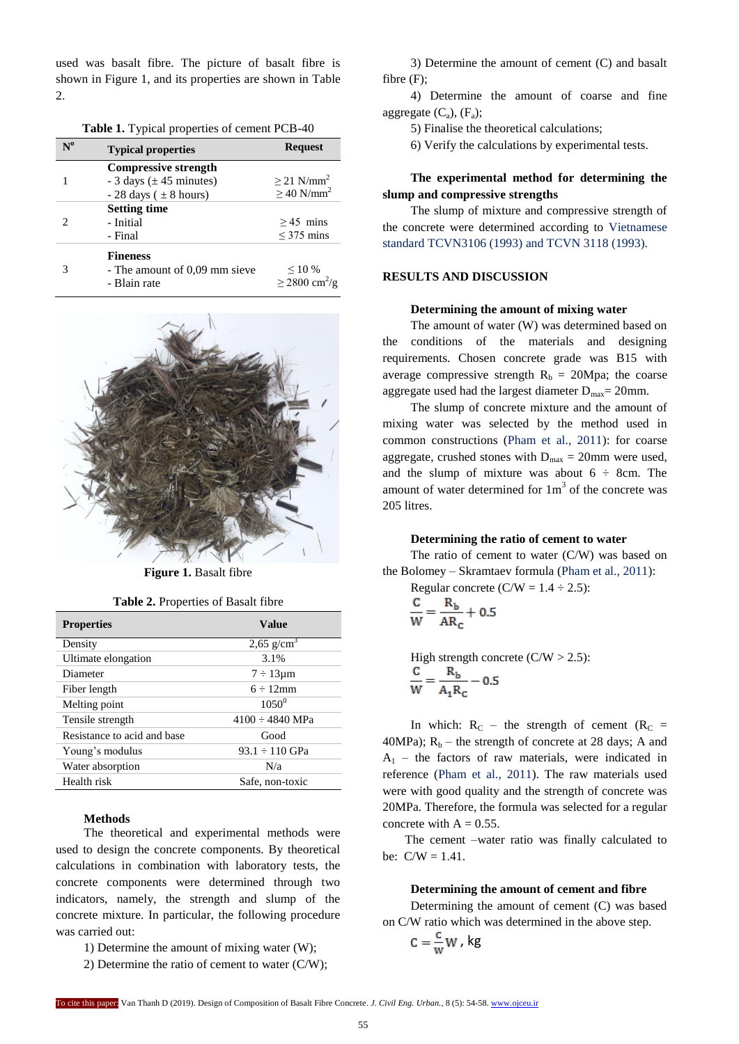used was basalt fibre. The picture of basalt fibre is shown in Figure 1, and its properties are shown in Table  $\mathcal{L}$ 

|  |  | Table 1. Typical properties of cement PCB-40 |  |  |
|--|--|----------------------------------------------|--|--|
|--|--|----------------------------------------------|--|--|

| $\mathbf{N^0}$ | <b>Typical properties</b>     | <b>Request</b>                 |  |
|----------------|-------------------------------|--------------------------------|--|
|                | <b>Compressive strength</b>   |                                |  |
|                | $-3$ days ( $\pm$ 45 minutes) | $\geq$ 21 N/mm <sup>2</sup>    |  |
|                | $-28$ days ( $\pm 8$ hours)   | $\geq$ 40 N/mm <sup>2</sup>    |  |
|                | <b>Setting time</b>           |                                |  |
| 2              | - Initial                     | $>45$ mins                     |  |
|                | - Final                       | $\leq$ 375 mins                |  |
|                | <b>Fineness</b>               |                                |  |
| 3              | - The amount of 0.09 mm sieve | $\leq 10\%$                    |  |
|                | - Blain rate                  | $\geq$ 2800 cm <sup>2</sup> /g |  |



Figure 1. Basalt fibre

|  | Table 2. Properties of Basalt fibre |  |  |
|--|-------------------------------------|--|--|
|--|-------------------------------------|--|--|

| <b>Properties</b>           | Value                |
|-----------------------------|----------------------|
| Density                     | 2,65 $g/cm^3$        |
| Ultimate elongation         | 3.1%                 |
| Diameter                    | $7 \div 13 \mu m$    |
| Fiber length                | $6 \div 12$ mm       |
| Melting point               | $1050^{0}$           |
| Tensile strength            | $4100 \div 4840$ MPa |
| Resistance to acid and base | Good                 |
| Young's modulus             | $93.1 \div 110$ GPa  |
| Water absorption            | N/a                  |
| Health risk                 | Safe, non-toxic      |

#### **Methods**

The theoretical and experimental methods were used to design the concrete components. By theoretical calculations in combination with laboratory tests, the concrete components were determined through two indicators, namely, the strength and slump of the concrete mixture. In particular, the following procedure was carried out:

1) Determine the amount of mixing water (W);

2) Determine the ratio of cement to water (C/W);

3) Determine the amount of cement (C) and basalt fibre (F);

4) Determine the amount of coarse and fine aggregate  $(C_a)$ ,  $(F_a)$ ;

5) Finalise the theoretical calculations;

6) Verify the calculations by experimental tests.

# **The experimental method for determining the slump and compressive strengths**

The slump of mixture and compressive strength of the concrete were determined according to Vietnamese [standard TCVN3106 \(1993\) and TCVN 3118](#page-4-0) (1993).

# **RESULTS AND DISCUSSION**

#### **Determining the amount of mixing water**

The amount of water (W) was determined based on the conditions of the materials and designing requirements. Chosen concrete grade was B15 with average compressive strength  $R_b = 20Mpa$ ; the coarse aggregate used had the largest diameter  $D_{\text{max}} = 20$ mm.

The slump of concrete mixture and the amount of mixing water was selected by the method used in common constructions [\(Pham et al., 2011\):](#page-4-0) for coarse aggregate, crushed stones with  $D_{\text{max}} = 20$ mm were used, and the slump of mixture was about  $6 \div 8$ cm. The amount of water determined for  $1m<sup>3</sup>$  of the concrete was 205 litres.

#### **Determining the ratio of cement to water**

The ratio of cement to water (C/W) was based on the Bolomey – Skramtaev formula [\(Pham et al., 2011\):](#page-4-0) 

Regular concrete (C/W = 1.4 ÷ 2.5):  
\n
$$
\frac{C}{W} = \frac{R_b}{AR_c} + 0.5
$$

High strength concrete  $(C/W > 2.5)$ :  $\frac{C}{W} = \frac{R_b}{A_1 R_c} - 0.5$ 

In which:  $R_C$  – the strength of cement ( $R_C$  = 40MPa);  $R_b$  – the strength of concrete at 28 days; A and  $A_1$  – the factors of raw materials, were indicated in reference [\(Pham et al., 2011\).](#page-4-0) The raw materials used were with good quality and the strength of concrete was 20MPa. Therefore, the formula was selected for a regular concrete with  $A = 0.55$ .

The cement –water ratio was finally calculated to be:  $C/W = 1.41$ .

# **Determining the amount of cement and fibre**

Determining the amount of cement (C) was based on C/W ratio which was determined in the above step.

$$
C=\frac{C}{W}W, kg
$$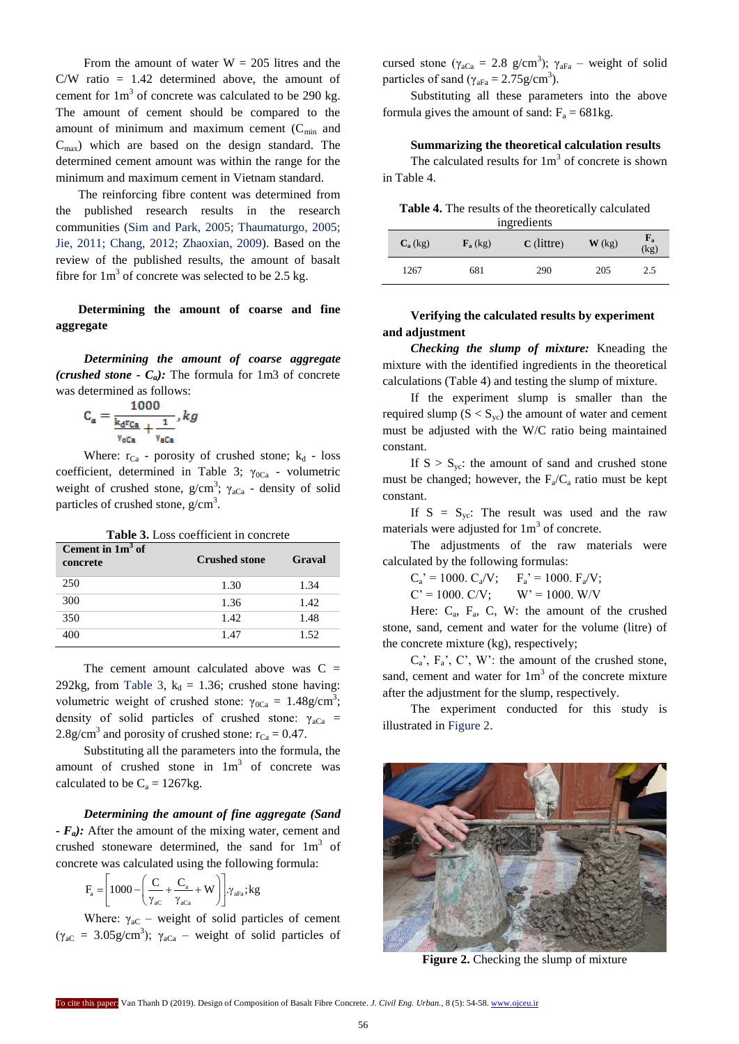From the amount of water  $W = 205$  litres and the  $C/W$  ratio = 1.42 determined above, the amount of cement for  $1m<sup>3</sup>$  of concrete was calculated to be 290 kg. The amount of cement should be compared to the amount of minimum and maximum cement  $(C_{min}$  and  $C<sub>max</sub>$ ) which are based on the design standard. The determined cement amount was within the range for the minimum and maximum cement in Vietnam standard.

The reinforcing fibre content was determined from the published research results in the research communities [\(Sim and Park, 2005; Thaumaturgo, 2005;](#page-4-0)  [Jie, 2011; Chang, 2012; Zhaoxian, 2009\).](#page-4-0) Based on the review of the published results, the amount of basalt fibre for  $1m<sup>3</sup>$  of concrete was selected to be 2.5 kg.

# **Determining the amount of coarse and fine aggregate**

*Determining the amount of coarse aggregate (crushed stone -*  $C_a$ *):* The formula for 1m3 of concrete was determined as follows:

$$
C_{a} = \frac{1000}{\frac{k_{d}rc_{a}}{v_{o}c_{a}} + \frac{1}{v_{a}c_{a}}}, kg
$$

Where:  $r_{Ca}$  - porosity of crushed stone;  $k_d$  - loss coefficient, determined in Table 3;  $\gamma_{0Ca}$  - volumetric weight of crushed stone,  $g/cm^3$ ;  $\gamma_{aCa}$  - density of solid particles of crushed stone,  $g/cm<sup>3</sup>$ .

| <b>Table 3.</b> Loss coefficient in concrete |                      |        |  |  |
|----------------------------------------------|----------------------|--------|--|--|
| Cement in $1m^3$ of<br>concrete              | <b>Crushed stone</b> | Graval |  |  |
| 250                                          | 1.30                 | 1.34   |  |  |
| 300                                          | 1.36                 | 1.42   |  |  |
| 350                                          | 1.42                 | 1.48   |  |  |
| 400                                          | 1.47                 | 1.52   |  |  |

The cement amount calculated above was  $C =$ 292kg, from Table 3,  $k_d = 1.36$ ; crushed stone having: volumetric weight of crushed stone:  $γ_{0Ca} = 1.48g/cm^3$ ; density of solid particles of crushed stone:  $\gamma_{aCa}$  = 2.8g/cm<sup>3</sup> and porosity of crushed stone:  $r_{Ca} = 0.47$ .

Substituting all the parameters into the formula, the amount of crushed stone in  $1m<sup>3</sup>$  of concrete was calculated to be  $C_a = 1267$ kg.

*Determining the amount of fine aggregate (Sand - Fa):* After the amount of the mixing water, cement and crushed stoneware determined, the sand for  $1m<sup>3</sup>$  of

concrete was calculated using the following formula:  
\n
$$
F_a = \left[1000 - \left(\frac{C}{\gamma_{ac}} + \frac{C_a}{\gamma_{aca}} + W\right)\right] \gamma_{aFa}; kg
$$

Where:  $\gamma_{\rm ac}$  – weight of solid particles of cement ( $\gamma_{\text{aC}} = 3.05 \text{g/cm}^3$ );  $\gamma_{\text{aCa}}$  – weight of solid particles of cursed stone ( $\gamma_{aCa} = 2.8$  g/cm<sup>3</sup>);  $\gamma_{aFa}$  – weight of solid particles of sand ( $\gamma_{\text{aFa}} = 2.75 \text{g/cm}^3$ ).

Substituting all these parameters into the above formula gives the amount of sand:  $F_a = 681 \text{kg}$ .

#### **Summarizing the theoretical calculation results**

The calculated results for  $1m<sup>3</sup>$  of concrete is shown in Table 4.

**Table 4.** The results of the theoretically calculated

| ingredients                                                                                     |     |     |     |     |  |
|-------------------------------------------------------------------------------------------------|-----|-----|-----|-----|--|
| ${\bf F_a}$<br>$C$ (littre)<br>$\mathbf{W}$ (kg)<br>$C_{a}$ (kg)<br>$\mathbf{F}_a$ (kg)<br>(kg) |     |     |     |     |  |
| 1267                                                                                            | 681 | 290 | 205 | 2.5 |  |

# **Verifying the calculated results by experiment and adjustment**

*Checking the slump of mixture:* Kneading the mixture with the identified ingredients in the theoretical calculations (Table 4) and testing the slump of mixture.

If the experiment slump is smaller than the required slump  $(S < S<sub>yc</sub>)$  the amount of water and cement must be adjusted with the W/C ratio being maintained constant.

If  $S > S_{yc}$ : the amount of sand and crushed stone must be changed; however, the  $F_a/C_a$  ratio must be kept constant.

If  $S = S_{yc}$ : The result was used and the raw materials were adjusted for  $1m<sup>3</sup>$  of concrete.

The adjustments of the raw materials were calculated by the following formulas:

 $C_a' = 1000$ .  $C_a/V$ ;  $F_a' = 1000$ .  $F_a/V$ ;  $C' = 1000$ .  $C/V$ ;  $W' = 1000$ .  $W/V$ 

Here:  $C_a$ ,  $F_a$ ,  $C$ ,  $W$ : the amount of the crushed stone, sand, cement and water for the volume (litre) of the concrete mixture (kg), respectively;

 $C_a$ ,  $F_a$ ,  $C$ ,  $W$ : the amount of the crushed stone, sand, cement and water for  $1m<sup>3</sup>$  of the concrete mixture after the adjustment for the slump, respectively.

The experiment conducted for this study is illustrated in Figure 2.



**Figure 2.** Checking the slump of mixture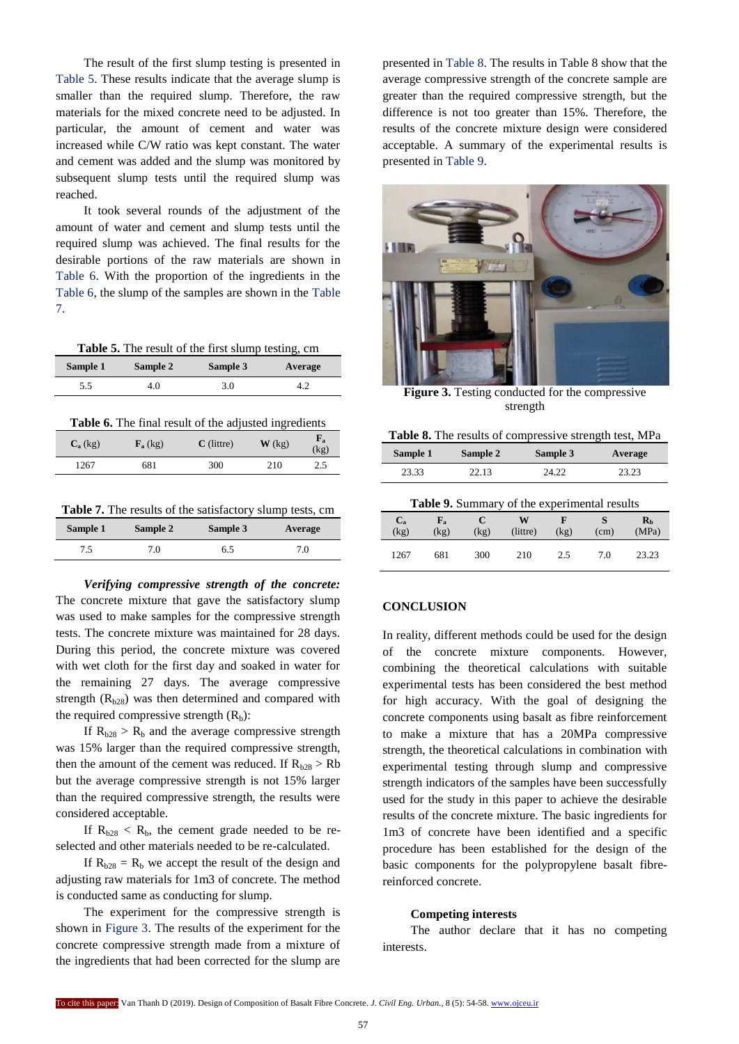The result of the first slump testing is presented in Table 5. These results indicate that the average slump is smaller than the required slump. Therefore, the raw materials for the mixed concrete need to be adjusted. In particular, the amount of cement and water was increased while C/W ratio was kept constant. The water and cement was added and the slump was monitored by subsequent slump tests until the required slump was reached.

It took several rounds of the adjustment of the amount of water and cement and slump tests until the required slump was achieved. The final results for the desirable portions of the raw materials are shown in Table 6. With the proportion of the ingredients in the Table 6, the slump of the samples are shown in the Table 7.

| <b>Table 5.</b> The result of the first slump testing, cm |  |
|-----------------------------------------------------------|--|
|-----------------------------------------------------------|--|

| Sample 1 | Sample 2 | Sample 3 | Average |
|----------|----------|----------|---------|
| 5.5      | 4.0      | 3.0      |         |
|          |          |          |         |

| Table 6. The final result of the adjusted ingredients |  |
|-------------------------------------------------------|--|
|-------------------------------------------------------|--|

| $C_{a}$ (kg) | $\mathbf{F}_a$ (kg) | $C$ (littre) | $\mathbf{W}$ (kg) | ${\bf F_a}$<br>(kg) |
|--------------|---------------------|--------------|-------------------|---------------------|
| 1267         | 681                 | 300          | 210               | 2.5                 |
|              |                     |              |                   |                     |

| Sample 1 | Sample 2 | Sample 3 | Average |
|----------|----------|----------|---------|
| 7.5      | 7.0      | 6.5      | 7.0     |

*Verifying compressive strength of the concrete:*  The concrete mixture that gave the satisfactory slump was used to make samples for the compressive strength tests. The concrete mixture was maintained for 28 days. During this period, the concrete mixture was covered with wet cloth for the first day and soaked in water for the remaining 27 days. The average compressive strength  $(R<sub>b28</sub>)$  was then determined and compared with the required compressive strength  $(R_b)$ :

If  $R_{b28} > R_b$  and the average compressive strength was 15% larger than the required compressive strength, then the amount of the cement was reduced. If  $R_{b28} > Rb$ but the average compressive strength is not 15% larger than the required compressive strength, the results were considered acceptable.

If  $R_{h28}$  <  $R_h$ , the cement grade needed to be reselected and other materials needed to be re-calculated.

If  $R_{b28} = R_b$  we accept the result of the design and adjusting raw materials for 1m3 of concrete. The method is conducted same as conducting for slump.

The experiment for the compressive strength is shown in Figure 3. The results of the experiment for the concrete compressive strength made from a mixture of the ingredients that had been corrected for the slump are

presented in Table 8. The results in Table 8 show that the average compressive strength of the concrete sample are greater than the required compressive strength, but the difference is not too greater than 15%. Therefore, the results of the concrete mixture design were considered acceptable. A summary of the experimental results is presented in Table 9.



**Figure 3.** Testing conducted for the compressive strength

| Table 8. The results of compressive strength test, MPa |  |  |
|--------------------------------------------------------|--|--|
|                                                        |  |  |

| Sample 1                                     |                     | Sample 2  |               | Sample 3  |           | Average                            |  |  |  |
|----------------------------------------------|---------------------|-----------|---------------|-----------|-----------|------------------------------------|--|--|--|
| 23.33                                        |                     | 22.13     | 24.22         |           | 23.23     |                                    |  |  |  |
| Table 9. Summary of the experimental results |                     |           |               |           |           |                                    |  |  |  |
| $C_{a}$<br>(kg)                              | ${\bf F_a}$<br>(kg) | C<br>(kg) | W<br>(littre) | F<br>(kg) | S<br>(cm) | $\mathbf{R}_{\mathbf{h}}$<br>(MPa) |  |  |  |
| 1267                                         | 681                 | 300       | 210           | 2.5       | 7.0       | 23.23                              |  |  |  |

# **CONCLUSION**

In reality, different methods could be used for the design of the concrete mixture components. However, combining the theoretical calculations with suitable experimental tests has been considered the best method for high accuracy. With the goal of designing the concrete components using basalt as fibre reinforcement to make a mixture that has a 20MPa compressive strength, the theoretical calculations in combination with experimental testing through slump and compressive strength indicators of the samples have been successfully used for the study in this paper to achieve the desirable results of the concrete mixture. The basic ingredients for 1m3 of concrete have been identified and a specific procedure has been established for the design of the basic components for the polypropylene basalt fibrereinforced concrete.

#### **Competing interests**

The author declare that it has no competing interests.